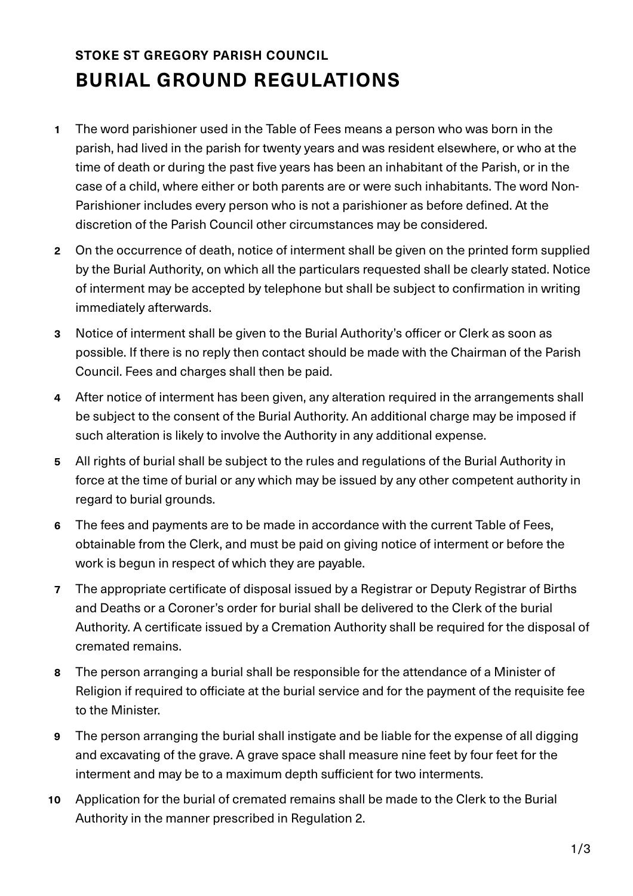## **STOKE ST GREGORY PARISH COUNCIL BURIAL GROUND REGULATIONS**

- **1** The word parishioner used in the Table of Fees means a person who was born in the parish, had lived in the parish for twenty years and was resident elsewhere, or who at the time of death or during the past five years has been an inhabitant of the Parish, or in the case of a child, where either or both parents are or were such inhabitants. The word Non-Parishioner includes every person who is not a parishioner as before defined. At the discretion of the Parish Council other circumstances may be considered.
- **2** On the occurrence of death, notice of interment shall be given on the printed form supplied by the Burial Authority, on which all the particulars requested shall be clearly stated. Notice of interment may be accepted by telephone but shall be subject to confirmation in writing immediately afterwards.
- **3** Notice of interment shall be given to the Burial Authority's officer or Clerk as soon as possible. If there is no reply then contact should be made with the Chairman of the Parish Council. Fees and charges shall then be paid.
- **4** After notice of interment has been given, any alteration required in the arrangements shall be subject to the consent of the Burial Authority. An additional charge may be imposed if such alteration is likely to involve the Authority in any additional expense.
- **5** All rights of burial shall be subject to the rules and regulations of the Burial Authority in force at the time of burial or any which may be issued by any other competent authority in regard to burial grounds.
- **6** The fees and payments are to be made in accordance with the current Table of Fees, obtainable from the Clerk, and must be paid on giving notice of interment or before the work is begun in respect of which they are payable.
- **7** The appropriate certificate of disposal issued by a Registrar or Deputy Registrar of Births and Deaths or a Coroner's order for burial shall be delivered to the Clerk of the burial Authority. A certificate issued by a Cremation Authority shall be required for the disposal of cremated remains.
- **8** The person arranging a burial shall be responsible for the attendance of a Minister of Religion if required to officiate at the burial service and for the payment of the requisite fee to the Minister.
- **9** The person arranging the burial shall instigate and be liable for the expense of all digging and excavating of the grave. A grave space shall measure nine feet by four feet for the interment and may be to a maximum depth sufficient for two interments.
- **10** Application for the burial of cremated remains shall be made to the Clerk to the Burial Authority in the manner prescribed in Regulation 2.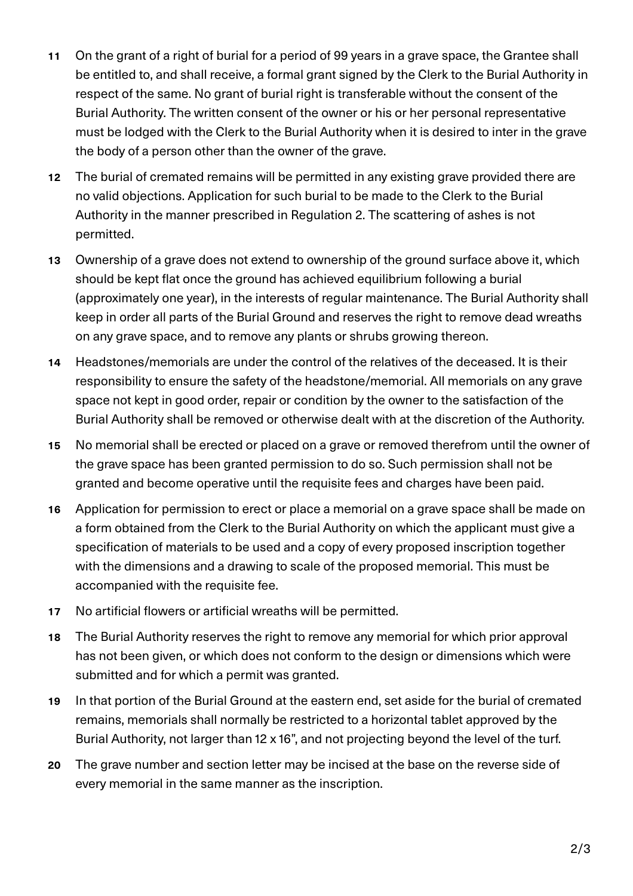- **11** On the grant of a right of burial for a period of 99 years in a grave space, the Grantee shall be entitled to, and shall receive, a formal grant signed by the Clerk to the Burial Authority in respect of the same. No grant of burial right is transferable without the consent of the Burial Authority. The written consent of the owner or his or her personal representative must be lodged with the Clerk to the Burial Authority when it is desired to inter in the grave the body of a person other than the owner of the grave.
- **12** The burial of cremated remains will be permitted in any existing grave provided there are no valid objections. Application for such burial to be made to the Clerk to the Burial Authority in the manner prescribed in Regulation 2. The scattering of ashes is not permitted.
- **13** Ownership of a grave does not extend to ownership of the ground surface above it, which should be kept flat once the ground has achieved equilibrium following a burial (approximately one year), in the interests of regular maintenance. The Burial Authority shall keep in order all parts of the Burial Ground and reserves the right to remove dead wreaths on any grave space, and to remove any plants or shrubs growing thereon.
- **14** Headstones/memorials are under the control of the relatives of the deceased. It is their responsibility to ensure the safety of the headstone/memorial. All memorials on any grave space not kept in good order, repair or condition by the owner to the satisfaction of the Burial Authority shall be removed or otherwise dealt with at the discretion of the Authority.
- **15** No memorial shall be erected or placed on a grave or removed therefrom until the owner of the grave space has been granted permission to do so. Such permission shall not be granted and become operative until the requisite fees and charges have been paid.
- **16** Application for permission to erect or place a memorial on a grave space shall be made on a form obtained from the Clerk to the Burial Authority on which the applicant must give a specification of materials to be used and a copy of every proposed inscription together with the dimensions and a drawing to scale of the proposed memorial. This must be accompanied with the requisite fee.
- **17** No artificial flowers or artificial wreaths will be permitted.
- **18** The Burial Authority reserves the right to remove any memorial for which prior approval has not been given, or which does not conform to the design or dimensions which were submitted and for which a permit was granted.
- **19** In that portion of the Burial Ground at the eastern end, set aside for the burial of cremated remains, memorials shall normally be restricted to a horizontal tablet approved by the Burial Authority, not larger than 12 x 16", and not projecting beyond the level of the turf.
- **20** The grave number and section letter may be incised at the base on the reverse side of every memorial in the same manner as the inscription.